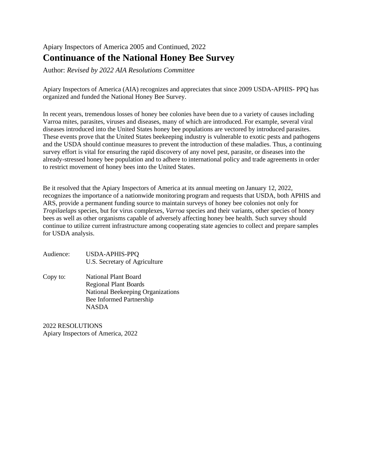# Apiary Inspectors of America 2005 and Continued, 2022 **Continuance of the National Honey Bee Survey**

Author: *Revised by 2022 AIA Resolutions Committee*

Apiary Inspectors of America (AIA) recognizes and appreciates that since 2009 USDA-APHIS- PPQ has organized and funded the National Honey Bee Survey.

In recent years, tremendous losses of honey bee colonies have been due to a variety of causes including Varroa mites, parasites, viruses and diseases, many of which are introduced. For example, several viral diseases introduced into the United States honey bee populations are vectored by introduced parasites. These events prove that the United States beekeeping industry is vulnerable to exotic pests and pathogens and the USDA should continue measures to prevent the introduction of these maladies. Thus, a continuing survey effort is vital for ensuring the rapid discovery of any novel pest, parasite, or diseases into the already-stressed honey bee population and to adhere to international policy and trade agreements in order to restrict movement of honey bees into the United States.

Be it resolved that the Apiary Inspectors of America at its annual meeting on January 12, 2022, recognizes the importance of a nationwide monitoring program and requests that USDA, both APHIS and ARS, provide a permanent funding source to maintain surveys of honey bee colonies not only for *Tropilaelaps* species, but for virus complexes, *Varroa* species and their variants, other species of honey bees as well as other organisms capable of adversely affecting honey bee health. Such survey should continue to utilize current infrastructure among cooperating state agencies to collect and prepare samples for USDA analysis.

| Audience: | USDA-APHIS-PPQ                |
|-----------|-------------------------------|
|           | U.S. Secretary of Agriculture |

Copy to: National Plant Board Regional Plant Boards National Beekeeping Organizations Bee Informed Partnership NASDA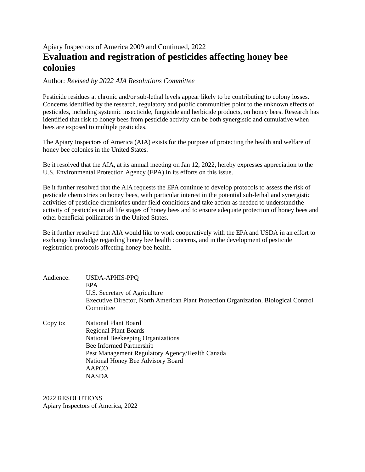### Apiary Inspectors of America 2009 and Continued, 2022 **Evaluation and registration of pesticides affecting honey bee colonies**

Author: *Revised by 2022 AIA Resolutions Committee*

Pesticide residues at chronic and/or sub-lethal levels appear likely to be contributing to colony losses. Concerns identified by the research, regulatory and public communities point to the unknown effects of pesticides, including systemic insecticide, fungicide and herbicide products, on honey bees. Research has identified that risk to honey bees from pesticide activity can be both synergistic and cumulative when bees are exposed to multiple pesticides.

The Apiary Inspectors of America (AIA) exists for the purpose of protecting the health and welfare of honey bee colonies in the United States.

Be it resolved that the AIA, at its annual meeting on Jan 12, 2022, hereby expresses appreciation to the U.S. Environmental Protection Agency (EPA) in its efforts on this issue.

Be it further resolved that the AIA requests the EPA continue to develop protocols to assess the risk of pesticide chemistries on honey bees, with particular interest in the potential sub-lethal and synergistic activities of pesticide chemistries under field conditions and take action as needed to understand the activity of pesticides on all life stages of honey bees and to ensure adequate protection of honey bees and other beneficial pollinators in the United States.

Be it further resolved that AIA would like to work cooperatively with the EPA and USDA in an effort to exchange knowledge regarding honey bee health concerns, and in the development of pesticide registration protocols affecting honey bee health.

| Audience: | <b>USDA-APHIS-PPQ</b><br><b>EPA</b><br>U.S. Secretary of Agriculture<br>Executive Director, North American Plant Protection Organization, Biological Control |
|-----------|--------------------------------------------------------------------------------------------------------------------------------------------------------------|
|           | Committee                                                                                                                                                    |
| Copy to:  | National Plant Board                                                                                                                                         |
|           | <b>Regional Plant Boards</b>                                                                                                                                 |
|           | National Beekeeping Organizations                                                                                                                            |
|           | Bee Informed Partnership                                                                                                                                     |
|           | Pest Management Regulatory Agency/Health Canada                                                                                                              |
|           | National Honey Bee Advisory Board                                                                                                                            |
|           | AAPCO                                                                                                                                                        |

2022 RESOLUTIONS Apiary Inspectors of America, 2022

NASDA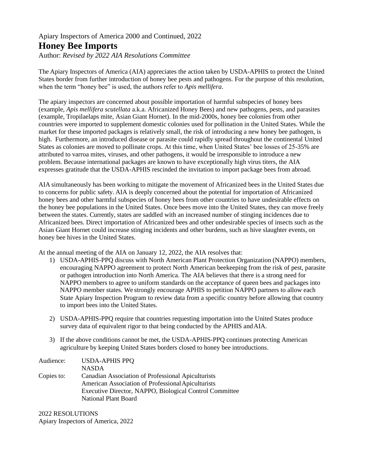#### Apiary Inspectors of America 2000 and Continued, 2022 **Honey Bee Imports**

Author: *Revised by 2022 AIA Resolutions Committee*

The Apiary Inspectors of America (AIA) appreciates the action taken by USDA-APHIS to protect the United States border from further introduction of honey bee pests and pathogens. For the purpose of this resolution, when the term "honey bee" is used, the authors refer to *Apis mellifera*.

The apiary inspectors are concerned about possible importation of harmful subspecies of honey bees (example, *Apis mellifera scutellata* a.k.a. Africanized Honey Bees) and new pathogens, pests, and parasites (example, Tropilaelaps mite, Asian Giant Hornet). In the mid-2000s, honey bee colonies from other countries were imported to supplement domestic colonies used for pollination in the United States. While the market for these imported packages is relatively small, the risk of introducing a new honey bee pathogen, is high. Furthermore, an introduced disease or parasite could rapidly spread throughout the continental United States as colonies are moved to pollinate crops. At this time, when United States' bee losses of 25-35% are attributed to varroa mites, viruses, and other pathogens, it would be irresponsible to introduce a new problem. Because international packages are known to have exceptionally high virus titers, the AIA expresses gratitude that the USDA-APHIS rescinded the invitation to import package bees from abroad.

AIA simultaneously has been working to mitigate the movement of Africanized bees in the United States due to concerns for public safety. AIA is deeply concerned about the potential for importation of Africanized honey bees and other harmful subspecies of honey bees from other countries to have undesirable effects on the honey bee populations in the United States. Once bees move into the United States, they can move freely between the states. Currently, states are saddled with an increased number of stinging incidences due to Africanized bees. Direct importation of Africanized bees and other undesirable species of insects such as the Asian Giant Hornet could increase stinging incidents and other burdens, such as hive slaughter events, on honey bee hives in the United States.

At the annual meeting of the AIA on January 12, 2022, the AIA resolves that:

- 1) USDA-APHIS-PPQ discuss with North American Plant Protection Organization (NAPPO) members, encouraging NAPPO agreement to protect North American beekeeping from the risk of pest, parasite or pathogen introduction into North America. The AIA believes that there is a strong need for NAPPO members to agree to uniform standards on the acceptance of queen bees and packages into NAPPO member states. We strongly encourage APHIS to petition NAPPO partners to allow each State Apiary Inspection Program to review data from a specific country before allowing that country to import bees into the United States.
- 2) USDA-APHIS-PPQ require that countries requesting importation into the United States produce survey data of equivalent rigor to that being conducted by the APHIS andAIA.
- 3) If the above conditions cannot be met, the USDA-APHIS-PPQ continues protecting American agriculture by keeping United States borders closed to honey bee introductions.

| Audience:  | <b>USDA-APHIS PPQ</b>                                   |
|------------|---------------------------------------------------------|
|            | <b>NASDA</b>                                            |
| Copies to: | Canadian Association of Professional Apiculturists      |
|            | American Association of Professional Apiculturists      |
|            | Executive Director, NAPPO, Biological Control Committee |
|            | National Plant Board                                    |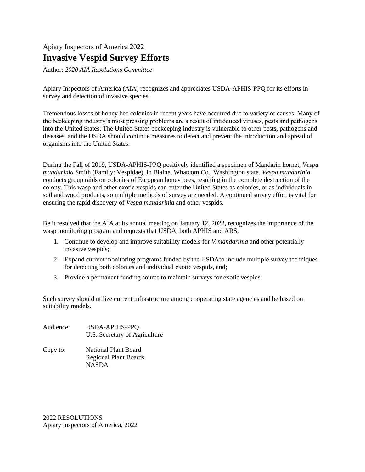# Apiary Inspectors of America 2022 **Invasive Vespid Survey Efforts**

Author: *2020 AIA Resolutions Committee*

Apiary Inspectors of America (AIA) recognizes and appreciates USDA-APHIS-PPQ for its efforts in survey and detection of invasive species.

Tremendous losses of honey bee colonies in recent years have occurred due to variety of causes. Many of the beekeeping industry's most pressing problems are a result of introduced viruses, pests and pathogens into the United States. The United States beekeeping industry is vulnerable to other pests, pathogens and diseases, and the USDA should continue measures to detect and prevent the introduction and spread of organisms into the United States.

During the Fall of 2019, USDA-APHIS-PPQ positively identified a specimen of Mandarin hornet, *Vespa mandarinia* Smith (Family: Vespidae), in Blaine, Whatcom Co., Washington state. *Vespa mandarinia* conducts group raids on colonies of European honey bees, resulting in the complete destruction of the colony. This wasp and other exotic vespids can enter the United States as colonies, or as individuals in soil and wood products, so multiple methods of survey are needed. A continued survey effort is vital for ensuring the rapid discovery of *Vespa mandarinia* and other vespids.

Be it resolved that the AIA at its annual meeting on January 12, 2022, recognizes the importance of the wasp monitoring program and requests that USDA, both APHIS and ARS,

- 1. Continue to develop and improve suitability models for *V. mandarinia* and other potentially invasive vespids;
- 2. Expand current monitoring programs funded by the USDAto include multiple survey techniques for detecting both colonies and individual exotic vespids, and;
- 3. Provide a permanent funding source to maintain surveys for exotic vespids.

Such survey should utilize current infrastructure among cooperating state agencies and be based on suitability models.

| Audience: | USDA-APHIS-PPQ<br>U.S. Secretary of Agriculture                                                                                                                                                                                                                                                                                    |
|-----------|------------------------------------------------------------------------------------------------------------------------------------------------------------------------------------------------------------------------------------------------------------------------------------------------------------------------------------|
|           | $\mathbf{v}$ $\mathbf{v}$ $\mathbf{v}$ $\mathbf{v}$ $\mathbf{v}$ $\mathbf{v}$ $\mathbf{v}$ $\mathbf{v}$ $\mathbf{v}$ $\mathbf{v}$ $\mathbf{v}$ $\mathbf{v}$ $\mathbf{v}$ $\mathbf{v}$ $\mathbf{v}$ $\mathbf{v}$ $\mathbf{v}$ $\mathbf{v}$ $\mathbf{v}$ $\mathbf{v}$ $\mathbf{v}$ $\mathbf{v}$ $\mathbf{v}$ $\mathbf{v}$ $\mathbf{$ |

Copy to: National Plant Board Regional Plant Boards NASDA